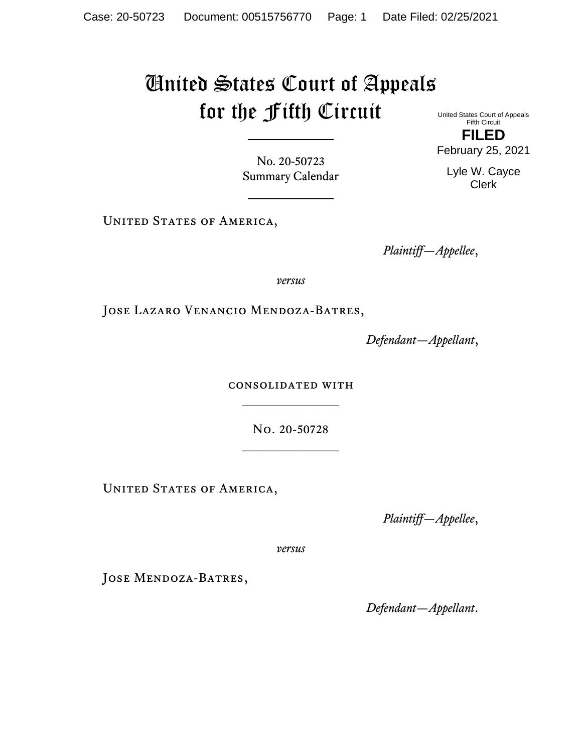## United States Court of Appeals for the Fifth Circuit

United States Court of Appeals Fifth Circuit **FILED**

No. 20-50723 Summary Calendar

UNITED STATES OF AMERICA,

*Plaintiff—Appellee*,

*versus*

Jose Lazaro Venancio Mendoza-Batres,

*Defendant—Appellant*,

consolidated with  $\frac{1}{2}$ 

No. 20-50728

UNITED STATES OF AMERICA,

*Plaintiff—Appellee*,

*versus*

JOSE MENDOZA-BATRES,

*Defendant—Appellant*.

February 25, 2021

Lyle W. Cayce Clerk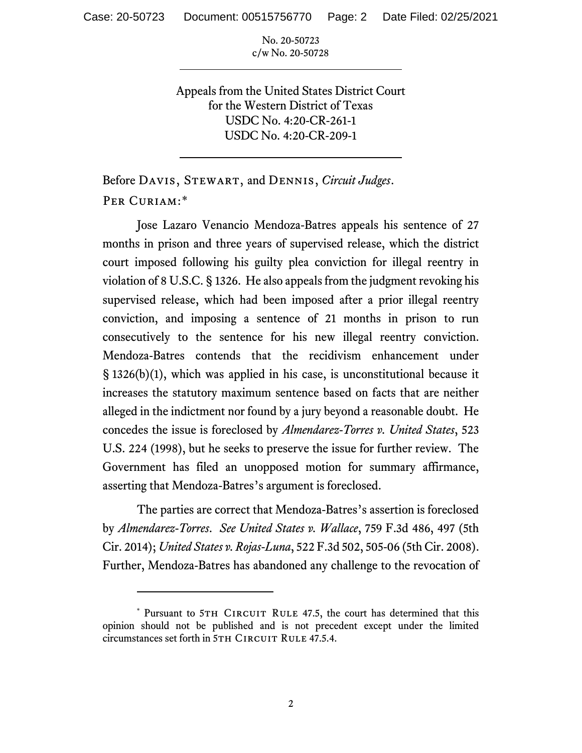No. 20-50723 c/w No. 20-50728

Appeals from the United States District Court for the Western District of Texas USDC No. 4:20-CR-261-1 USDC No. 4:20-CR-209-1

Before Davis, Stewart, and Dennis, *Circuit Judges*. Per Curiam:[\\*](#page-1-0)

Jose Lazaro Venancio Mendoza-Batres appeals his sentence of 27 months in prison and three years of supervised release, which the district court imposed following his guilty plea conviction for illegal reentry in violation of 8 U.S.C. § 1326. He also appeals from the judgment revoking his supervised release, which had been imposed after a prior illegal reentry conviction, and imposing a sentence of 21 months in prison to run consecutively to the sentence for his new illegal reentry conviction. Mendoza-Batres contends that the recidivism enhancement under § 1326(b)(1), which was applied in his case, is unconstitutional because it increases the statutory maximum sentence based on facts that are neither alleged in the indictment nor found by a jury beyond a reasonable doubt. He concedes the issue is foreclosed by *Almendarez-Torres v. United States*, 523 U.S. 224 (1998), but he seeks to preserve the issue for further review. The Government has filed an unopposed motion for summary affirmance, asserting that Mendoza-Batres's argument is foreclosed.

The parties are correct that Mendoza-Batres's assertion is foreclosed by *Almendarez-Torres*. *See United States v. Wallace*, 759 F.3d 486, 497 (5th Cir. 2014); *United States v. Rojas-Luna*, 522 F.3d 502, 505-06 (5th Cir. 2008). Further, Mendoza-Batres has abandoned any challenge to the revocation of

<span id="page-1-0"></span><sup>\*</sup> Pursuant to 5TH CIRCUIT RULE 47.5, the court has determined that this opinion should not be published and is not precedent except under the limited circumstances set forth in 5TH CIRCUIT RULE 47.5.4.